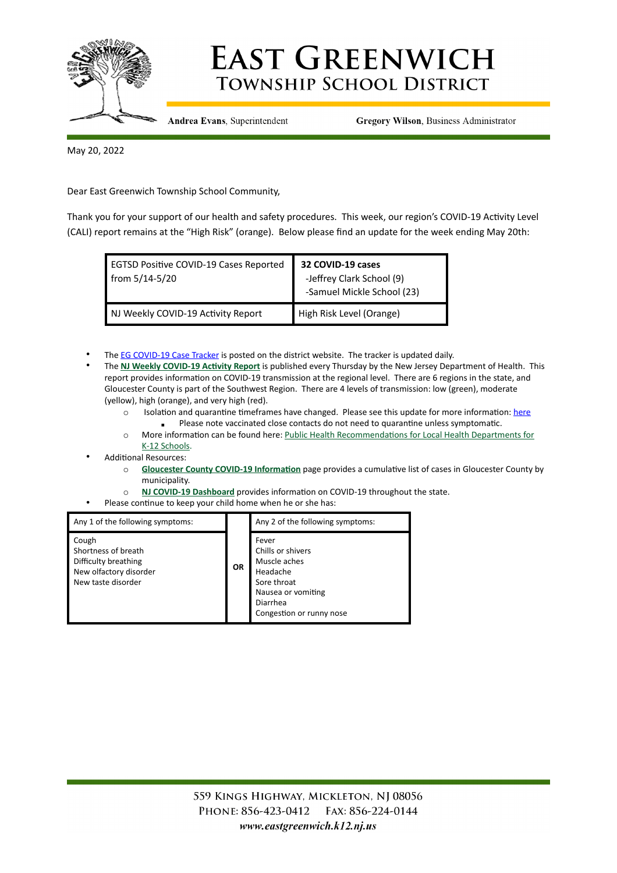

## **EAST GREENWICH TOWNSHIP SCHOOL DISTRICT**

**Andrea Evans**, Superintendent

**Gregory Wilson, Business Administrator** 

May 20, 2022

Dear East Greenwich Township School Community,

Thank you for your support of our health and safety procedures. This week, our region's COVID-19 Activity Level (CALI) report remains at the "High Risk" (orange). Below please find an update for the week ending May 20th:

| EGTSD Positive COVID-19 Cases Reported<br>from 5/14-5/20 | 32 COVID-19 cases<br>-Jeffrey Clark School (9)<br>-Samuel Mickle School (23) |
|----------------------------------------------------------|------------------------------------------------------------------------------|
| NJ Weekly COVID-19 Activity Report                       | High Risk Level (Orange)                                                     |

- The [EG COVID-19 Case Tracker](https://docs.google.com/spreadsheets/d/e/2PACX-1vTjATLuaqiTisUZpGt7HUzJFNZpH13CWMxQe_kxZjZORQ9La4Ykc2QNoxZn8430jtRffiYMKhyQk5D9/pubhtml?gid=0&single=true) is posted on the district website. The tracker is updated daily.
- The **[NJ Weekly COVID-19 Activity Report](https://www.nj.gov/health/cd/statistics/covid/)** is published every Thursday by the New Jersey Department of Health. This report provides information on COVID-19 transmission at the regional level. There are 6 regions in the state, and Gloucester County is part of the Southwest Region. There are 4 levels of transmission: low (green), moderate (yellow), high (orange), and very high (red).
	- o Isolation and quarantine timeframes have changed. Please see this update for more information: [here](https://www.eastgreenwich.k12.nj.us/cms/lib/NJ01912656/Centricity/ModuleInstance/4477/Community%2520Update%25201.12.pdf)
		- **EXECTE Please note vaccinated close contacts do not need to quarantine unless symptomatic.**
	- o More information can be found here: [Public Health Recommendations for Local Health Departments for](https://www.nj.gov/health/cd/documents/topics/NCOV/RecommendationsForLocalHealthDepts_K12Schools.pdf)  [K-12 Schools.](https://www.nj.gov/health/cd/documents/topics/NCOV/RecommendationsForLocalHealthDepts_K12Schools.pdf)
- Additional Resources:
	- o **[Gloucester County COVID-19 Information](https://www.gloucestercountynj.gov/979/COVID-19-Information)** page provides a cumulative list of cases in Gloucester County by municipality.
	- o **[NJ COVID-19 Dashboard](https://www.nj.gov/health/cd/topics/covid2019_dashboard.shtml)** provides information on COVID-19 throughout the state.
- Please continue to keep your child home when he or she has:

| Any 1 of the following symptoms:                                                                     | <b>OR</b> | Any 2 of the following symptoms:                                                                                                    |
|------------------------------------------------------------------------------------------------------|-----------|-------------------------------------------------------------------------------------------------------------------------------------|
| Cough<br>Shortness of breath<br>Difficulty breathing<br>New olfactory disorder<br>New taste disorder |           | Fever<br>Chills or shivers<br>Muscle aches<br>Headache<br>Sore throat<br>Nausea or vomiting<br>Diarrhea<br>Congestion or runny nose |